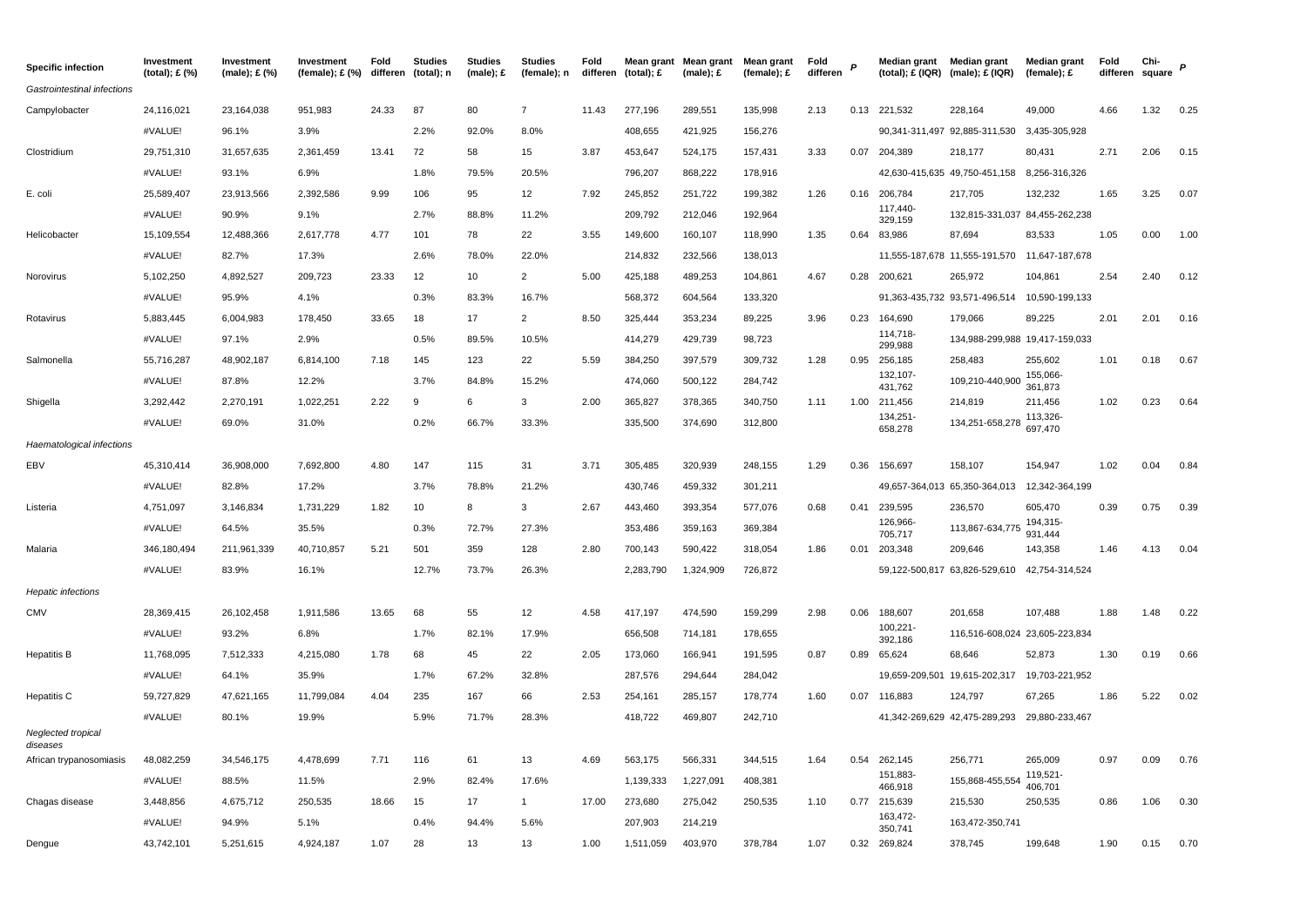| <b>Specific infection</b>      | Investment<br>(total); £ (%) | Investment<br>(male): £ (%) | Investment<br>(female); $£$ (%) | Fold<br>differen | <b>Studies</b><br>(total); n | <b>Studies</b><br>$(male)$ ; £ | <b>Studies</b><br>(female); n | Fold<br>differen | (total); £ | Mean grant Mean grant<br>$(male)$ : £ | Mean grant<br>(female); £ | Fold<br>differen |      | Median grant        | <b>Median grant</b><br>$(total);$ $E(IQR)$ (male); $E(IQR)$ | <b>Median grant</b><br>(female); $E$ | Fold<br>differen | Chi-<br>square |      |
|--------------------------------|------------------------------|-----------------------------|---------------------------------|------------------|------------------------------|--------------------------------|-------------------------------|------------------|------------|---------------------------------------|---------------------------|------------------|------|---------------------|-------------------------------------------------------------|--------------------------------------|------------------|----------------|------|
| Gastrointestinal infections    |                              |                             |                                 |                  |                              |                                |                               |                  |            |                                       |                           |                  |      |                     |                                                             |                                      |                  |                |      |
| Campylobacter                  | 24,116,021                   | 23,164,038                  | 951,983                         | 24.33            | 87                           | 80                             | $\overline{7}$                | 11.43            | 277,196    | 289,551                               | 135,998                   | 2.13             |      | 0.13 221,532        | 228,164                                                     | 49,000                               | 4.66             | 1.32           | 0.25 |
|                                | #VALUE!                      | 96.1%                       | 3.9%                            |                  | 2.2%                         | 92.0%                          | 8.0%                          |                  | 408,655    | 421,925                               | 156,276                   |                  |      |                     | 90,341-311,497 92,885-311,530                               | 3,435-305,928                        |                  |                |      |
| Clostridium                    | 29,751,310                   | 31,657,635                  | 2,361,459                       | 13.41            | 72                           | 58                             | 15                            | 3.87             | 453,647    | 524,175                               | 157,431                   | 3.33             |      | 0.07 204,389        | 218,177                                                     | 80,431                               | 2.71             | 2.06           | 0.15 |
|                                | #VALUE!                      | 93.1%                       | 6.9%                            |                  | 1.8%                         | 79.5%                          | 20.5%                         |                  | 796,207    | 868,222                               | 178,916                   |                  |      |                     | 42,630-415,635 49,750-451,158                               | 8,256-316,326                        |                  |                |      |
| E. coli                        | 25,589,407                   | 23,913,566                  | 2,392,586                       | 9.99             | 106                          | 95                             | 12                            | 7.92             | 245,852    | 251,722                               | 199,382                   | 1.26             |      | 0.16 206,784        | 217,705                                                     | 132,232                              | 1.65             | 3.25           | 0.07 |
|                                | #VALUE!                      | 90.9%                       | 9.1%                            |                  | 2.7%                         | 88.8%                          | 11.2%                         |                  | 209,792    | 212,046                               | 192,964                   |                  |      | 117,440-<br>329,159 | 132,815-331,037 84,455-262,238                              |                                      |                  |                |      |
| Helicobacter                   | 15,109,554                   | 12,488,366                  | 2,617,778                       | 4.77             | 101                          | 78                             | 22                            | 3.55             | 149,600    | 160,107                               | 118,990                   | 1.35             | 0.64 | 83,986              | 87,694                                                      | 83,533                               | 1.05             | 0.00           | 1.00 |
|                                | #VALUE!                      | 82.7%                       | 17.3%                           |                  | 2.6%                         | 78.0%                          | 22.0%                         |                  | 214,832    | 232,566                               | 138,013                   |                  |      |                     | 11,555-187,678 11,555-191,570                               | 11,647-187,678                       |                  |                |      |
| Norovirus                      | 5,102,250                    | 4,892,527                   | 209,723                         | 23.33            | 12                           | 10                             | $\overline{2}$                | 5.00             | 425,188    | 489,253                               | 104,861                   | 4.67             | 0.28 | 200,621             | 265,972                                                     | 104,861                              | 2.54             | 2.40           | 0.12 |
|                                | #VALUE!                      | 95.9%                       | 4.1%                            |                  | 0.3%                         | 83.3%                          | 16.7%                         |                  | 568,372    | 604,564                               | 133,320                   |                  |      |                     | 91,363-435,732 93,571-496,514                               | 10,590-199,133                       |                  |                |      |
| Rotavirus                      | 5,883,445                    | 6,004,983                   | 178,450                         | 33.65            | 18                           | 17                             | $\overline{2}$                | 8.50             | 325,444    | 353,234                               | 89,225                    | 3.96             | 0.23 | 164,690             | 179,066                                                     | 89,225                               | 2.01             | 2.01           | 0.16 |
|                                | #VALUE!                      | 97.1%                       | 2.9%                            |                  | 0.5%                         | 89.5%                          | 10.5%                         |                  | 414,279    | 429,739                               | 98,723                    |                  |      | 114,718-<br>299,988 | 134,988-299,988 19,417-159,033                              |                                      |                  |                |      |
| Salmonella                     | 55,716,287                   | 48,902,187                  | 6,814,100                       | 7.18             | 145                          | 123                            | 22                            | 5.59             | 384,250    | 397,579                               | 309,732                   | 1.28             |      | 0.95 256,185        | 258,483                                                     | 255,602                              | 1.01             | 0.18           | 0.67 |
|                                | #VALUE!                      | 87.8%                       | 12.2%                           |                  | 3.7%                         | 84.8%                          | 15.2%                         |                  | 474,060    | 500,122                               | 284,742                   |                  |      | 132,107-<br>431,762 | 109,210-440,900                                             | 155,066-<br>361,873                  |                  |                |      |
| Shigella                       | 3,292,442                    | 2,270,191                   | 1,022,251                       | 2.22             | 9                            | 6                              | 3                             | 2.00             | 365,827    | 378,365                               | 340,750                   | 1.11             | 1.00 | 211,456             | 214,819                                                     | 211,456                              | 1.02             | 0.23           | 0.64 |
|                                | #VALUE!                      | 69.0%                       | 31.0%                           |                  | 0.2%                         | 66.7%                          | 33.3%                         |                  | 335,500    | 374,690                               | 312,800                   |                  |      | 134,251-<br>658,278 | 134,251-658,278                                             | 113,326<br>697,470                   |                  |                |      |
| Haematological infections      |                              |                             |                                 |                  |                              |                                |                               |                  |            |                                       |                           |                  |      |                     |                                                             |                                      |                  |                |      |
| EBV                            | 45,310,414                   | 36,908,000                  | 7,692,800                       | 4.80             | 147                          | 115                            | 31                            | 3.71             | 305,485    | 320,939                               | 248,155                   | 1.29             | 0.36 | 156,697             | 158,107                                                     | 154,947                              | 1.02             | 0.04           | 0.84 |
|                                | #VALUE!                      | 82.8%                       | 17.2%                           |                  | 3.7%                         | 78.8%                          | 21.2%                         |                  | 430,746    | 459,332                               | 301,211                   |                  |      |                     | 49,657-364,013 65,350-364,013                               | 12,342-364,199                       |                  |                |      |
| Listeria                       | 4,751,097                    | 3,146,834                   | 1,731,229                       | 1.82             | 10                           | 8                              | 3                             | 2.67             | 443,460    | 393,354                               | 577,076                   | 0.68             | 0.41 | 239,595             | 236,570                                                     | 605,470                              | 0.39             | 0.75           | 0.39 |
|                                | #VALUE!                      | 64.5%                       | 35.5%                           |                  | 0.3%                         | 72.7%                          | 27.3%                         |                  | 353,486    | 359,163                               | 369,384                   |                  |      | 126,966-<br>705,717 | 113,867-634,775                                             | 194,315-<br>931,444                  |                  |                |      |
| Malaria                        | 346,180,494                  | 211,961,339                 | 40,710,857                      | 5.21             | 501                          | 359                            | 128                           | 2.80             | 700,143    | 590,422                               | 318,054                   | 1.86             |      | 0.01 203,348        | 209,646                                                     | 143,358                              | 1.46             | 4.13           | 0.04 |
|                                | #VALUE!                      | 83.9%                       | 16.1%                           |                  | 12.7%                        | 73.7%                          | 26.3%                         |                  | 2,283,790  | 1,324,909                             | 726,872                   |                  |      |                     | 59,122-500,817 63,826-529,610                               | 42,754-314,524                       |                  |                |      |
| <b>Hepatic infections</b>      |                              |                             |                                 |                  |                              |                                |                               |                  |            |                                       |                           |                  |      |                     |                                                             |                                      |                  |                |      |
| <b>CMV</b>                     | 28,369,415                   | 26,102,458                  | 1,911,586                       | 13.65            | 68                           | 55                             | 12                            | 4.58             | 417,197    | 474,590                               | 159,299                   | 2.98             | 0.06 | 188,607             | 201,658                                                     | 107,488                              | 1.88             | 1.48           | 0.22 |
|                                | #VALUE!                      | 93.2%                       | 6.8%                            |                  | 1.7%                         | 82.1%                          | 17.9%                         |                  | 656,508    | 714,181                               | 178,655                   |                  |      | 100,221-<br>392,186 | 116,516-608,024 23,605-223,834                              |                                      |                  |                |      |
| <b>Hepatitis B</b>             | 11,768,095                   | 7,512,333                   | 4,215,080                       | 1.78             | 68                           | 45                             | 22                            | 2.05             | 173,060    | 166,941                               | 191,595                   | 0.87             | 0.89 | 65,624              | 68,646                                                      | 52,873                               | 1.30             | 0.19           | 0.66 |
|                                | #VALUE!                      | 64.1%                       | 35.9%                           |                  | 1.7%                         | 67.2%                          | 32.8%                         |                  | 287,576    | 294,644                               | 284,042                   |                  |      |                     | 19,659-209,501 19,615-202,317                               | 19,703-221,952                       |                  |                |      |
| Hepatitis C                    | 59,727,829                   | 47,621,165                  | 11,799,084                      | 4.04             | 235                          | 167                            | 66                            | 2.53             | 254,161    | 285,157                               | 178,774                   | 1.60             | 0.07 | 116,883             | 124,797                                                     | 67,265                               | 1.86             | 5.22           | 0.02 |
|                                | #VALUE!                      | 80.1%                       | 19.9%                           |                  | 5.9%                         | 71.7%                          | 28.3%                         |                  | 418,722    | 469,807                               | 242,710                   |                  |      |                     | 41,342-269,629 42,475-289,293                               | 29,880-233,467                       |                  |                |      |
| Neglected tropical<br>diseases |                              |                             |                                 |                  |                              |                                |                               |                  |            |                                       |                           |                  |      |                     |                                                             |                                      |                  |                |      |
| African trypanosomiasis        | 48,082,259                   | 34,546,175                  | 4,478,699                       | 7.71             | 116                          | 61                             | 13                            | 4.69             | 563,175    | 566,331                               | 344,515                   | 1.64             | 0.54 | 262,145             | 256,771                                                     | 265,009                              | 0.97             | 0.09           | 0.76 |
|                                | #VALUE!                      | 88.5%                       | 11.5%                           |                  | 2.9%                         | 82.4%                          | 17.6%                         |                  | 1,139,333  | 1,227,091                             | 408,381                   |                  |      | 151,883-<br>466,918 | 155,868-455,554                                             | 119,521<br>406,701                   |                  |                |      |
| Chagas disease                 | 3,448,856                    | 4,675,712                   | 250,535                         | 18.66            | 15                           | 17                             | 1                             | 17.00            | 273,680    | 275,042                               | 250,535                   | 1.10             |      | 0.77 215,639        | 215,530                                                     | 250,535                              | 0.86             | 1.06           | 0.30 |
|                                | #VALUE!                      | 94.9%                       | 5.1%                            |                  | 0.4%                         | 94.4%                          | 5.6%                          |                  | 207,903    | 214,219                               |                           |                  |      | 163,472-<br>350,741 | 163,472-350,741                                             |                                      |                  |                |      |
| Dengue                         | 43,742,101                   | 5.251.615                   | 4.924.187                       | 1.07             | 28                           | 13                             | 13                            | 1.00             | 1,511,059  | 403.970                               | 378,784                   | 1.07             | 0.32 | 269,824             | 378.745                                                     | 199.648                              | 1.90             | 0.15           | 0.70 |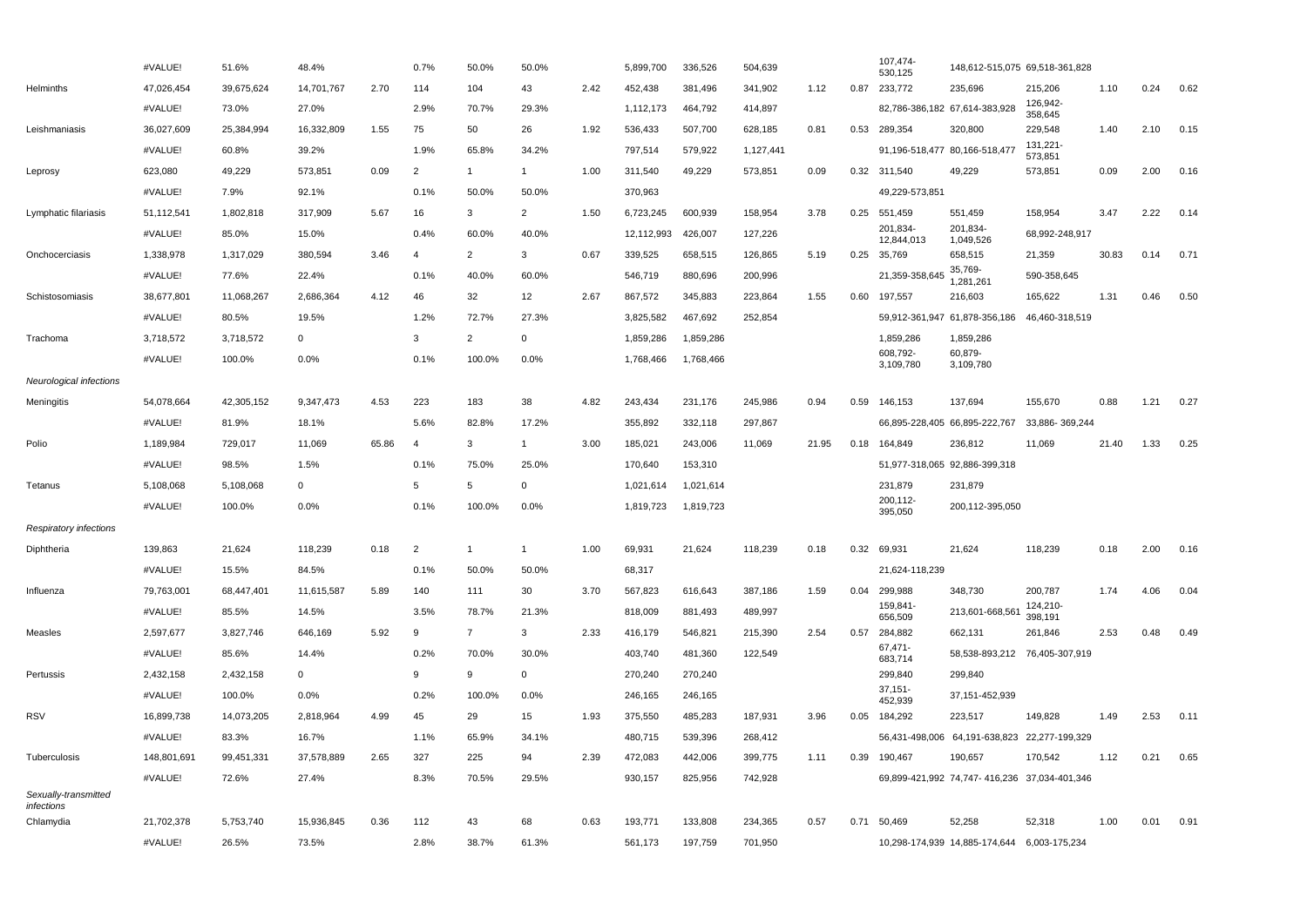|                                    | #VALUE!     | 51.6%      | 48.4%       |       | 0.7%           | 50.0%          | 50.0%        |      | 5,899,700  | 336,526   | 504,639   |       |      | 107,474-<br>530,125           | 148,612-515,075 69,518-361,828               |                               |       |      |      |
|------------------------------------|-------------|------------|-------------|-------|----------------|----------------|--------------|------|------------|-----------|-----------|-------|------|-------------------------------|----------------------------------------------|-------------------------------|-------|------|------|
| Helminths                          | 47,026,454  | 39,675,624 | 14,701,767  | 2.70  | 114            | 104            | 43           | 2.42 | 452,438    | 381,496   | 341,902   | 1.12  | 0.87 | 233,772                       | 235,696                                      | 215,206                       | 1.10  | 0.24 | 0.62 |
|                                    | #VALUE!     | 73.0%      | 27.0%       |       | 2.9%           | 70.7%          | 29.3%        |      | 1,112,173  | 464,792   | 414,897   |       |      |                               | 82,786-386,182 67,614-383,928                | 126,942-<br>358,645           |       |      |      |
| Leishmaniasis                      | 36,027,609  | 25,384,994 | 16,332,809  | 1.55  | 75             | 50             | 26           | 1.92 | 536,433    | 507,700   | 628,185   | 0.81  | 0.53 | 289,354                       | 320,800                                      | 229,548                       | 1.40  | 2.10 | 0.15 |
|                                    | #VALUE!     | 60.8%      | 39.2%       |       | 1.9%           | 65.8%          | 34.2%        |      | 797,514    | 579,922   | 1,127,441 |       |      | 91,196-518,477 80,166-518,477 |                                              | 131,221-<br>573,851           |       |      |      |
| Leprosy                            | 623,080     | 49,229     | 573,851     | 0.09  | $\overline{2}$ | $\mathbf{1}$   | $\mathbf{1}$ | 1.00 | 311,540    | 49,229    | 573,851   | 0.09  | 0.32 | 311,540                       | 49,229                                       | 573,851                       | 0.09  | 2.00 | 0.16 |
|                                    | #VALUE!     | 7.9%       | 92.1%       |       | 0.1%           | 50.0%          | 50.0%        |      | 370,963    |           |           |       |      | 49,229-573,851                |                                              |                               |       |      |      |
| Lymphatic filariasis               | 51,112,541  | 1,802,818  | 317,909     | 5.67  | 16             | 3              | 2            | 1.50 | 6,723,245  | 600,939   | 158,954   | 3.78  |      | 0.25 551,459                  | 551,459                                      | 158,954                       | 3.47  | 2.22 | 0.14 |
|                                    | #VALUE!     | 85.0%      | 15.0%       |       | 0.4%           | 60.0%          | 40.0%        |      | 12,112,993 | 426,007   | 127,226   |       |      | 201,834-<br>12,844,013        | 201,834-<br>1,049,526                        | 68,992-248,917                |       |      |      |
| Onchocerciasis                     | 1,338,978   | 1,317,029  | 380,594     | 3.46  | $\overline{4}$ | $\overline{2}$ | 3            | 0.67 | 339,525    | 658,515   | 126,865   | 5.19  | 0.25 | 35,769                        | 658,515                                      | 21,359                        | 30.83 | 0.14 | 0.71 |
|                                    | #VALUE!     | 77.6%      | 22.4%       |       | 0.1%           | 40.0%          | 60.0%        |      | 546,719    | 880,696   | 200,996   |       |      | 21,359-358,645                | 35,769-<br>1,281,261                         | 590-358,645                   |       |      |      |
| Schistosomiasis                    | 38,677,801  | 11,068,267 | 2,686,364   | 4.12  | 46             | 32             | 12           | 2.67 | 867,572    | 345,883   | 223,864   | 1.55  | 0.60 | 197,557                       | 216,603                                      | 165,622                       | 1.31  | 0.46 | 0.50 |
|                                    | #VALUE!     | 80.5%      | 19.5%       |       | 1.2%           | 72.7%          | 27.3%        |      | 3,825,582  | 467,692   | 252,854   |       |      |                               | 59,912-361,947 61,878-356,186                | 46,460-318,519                |       |      |      |
| Trachoma                           | 3,718,572   | 3,718,572  | $\mathbf 0$ |       | 3              | $\overline{2}$ | $\Omega$     |      | 1,859,286  | 1,859,286 |           |       |      | 1,859,286                     | 1,859,286                                    |                               |       |      |      |
|                                    | #VALUE!     | 100.0%     | 0.0%        |       | 0.1%           | 100.0%         | 0.0%         |      | 1,768,466  | 1,768,466 |           |       |      | 608,792-<br>3,109,780         | 60,879-<br>3,109,780                         |                               |       |      |      |
| Neurological infections            |             |            |             |       |                |                |              |      |            |           |           |       |      |                               |                                              |                               |       |      |      |
| Meningitis                         | 54,078,664  | 42,305,152 | 9,347,473   | 4.53  | 223            | 183            | 38           | 4.82 | 243,434    | 231,176   | 245,986   | 0.94  | 0.59 | 146,153                       | 137,694                                      | 155,670                       | 0.88  | 1.21 | 0.27 |
|                                    | #VALUE!     | 81.9%      | 18.1%       |       | 5.6%           | 82.8%          | 17.2%        |      | 355,892    | 332,118   | 297,867   |       |      |                               | 66,895-228,405 66,895-222,767                | 33,886-369,244                |       |      |      |
| Polio                              | 1,189,984   | 729,017    | 11,069      | 65.86 | $\overline{4}$ | 3              | $\mathbf{1}$ | 3.00 | 185,021    | 243,006   | 11,069    | 21.95 | 0.18 | 164,849                       | 236,812                                      | 11,069                        | 21.40 | 1.33 | 0.25 |
|                                    | #VALUE!     | 98.5%      | 1.5%        |       | 0.1%           | 75.0%          | 25.0%        |      | 170,640    | 153,310   |           |       |      |                               | 51,977-318,065 92,886-399,318                |                               |       |      |      |
| Tetanus                            | 5,108,068   | 5,108,068  | $\mathbf 0$ |       | 5              | 5              | $\Omega$     |      | 1,021,614  | 1,021,614 |           |       |      | 231,879                       | 231,879                                      |                               |       |      |      |
|                                    | #VALUE!     | 100.0%     | 0.0%        |       | 0.1%           | 100.0%         | 0.0%         |      | 1,819,723  | 1,819,723 |           |       |      | 200,112-<br>395,050           | 200,112-395,050                              |                               |       |      |      |
| Respiratory infections             |             |            |             |       |                |                |              |      |            |           |           |       |      |                               |                                              |                               |       |      |      |
| Diphtheria                         | 139,863     | 21,624     | 118,239     | 0.18  | $\overline{2}$ | $\overline{1}$ | $\mathbf{1}$ | 1.00 | 69,931     | 21,624    | 118,239   | 0.18  | 0.32 | 69,931                        | 21,624                                       | 118,239                       | 0.18  | 2.00 | 0.16 |
|                                    | #VALUE!     | 15.5%      | 84.5%       |       | 0.1%           | 50.0%          | 50.0%        |      | 68,317     |           |           |       |      | 21,624-118,239                |                                              |                               |       |      |      |
| Influenza                          | 79,763,001  | 68,447,401 | 11,615,587  | 5.89  | 140            | 111            | 30           | 3.70 | 567,823    | 616,643   | 387,186   | 1.59  | 0.04 | 299,988                       | 348,730                                      | 200,787                       | 1.74  | 4.06 | 0.04 |
|                                    | #VALUE!     | 85.5%      | 14.5%       |       | 3.5%           | 78.7%          | 21.3%        |      | 818,009    | 881,493   | 489,997   |       |      | 159,841-<br>656,509           | 213,601-668,561                              | 124,210-<br>398,191           |       |      |      |
| Measles                            | 2,597,677   | 3,827,746  | 646,169     | 5.92  | 9              | $\overline{7}$ | 3            | 2.33 | 416,179    | 546,821   | 215,390   | 2.54  | 0.57 | 284,882                       | 662,131                                      | 261,846                       | 2.53  | 0.48 | 0.49 |
|                                    | #VALUE!     | 85.6%      | 14.4%       |       | 0.2%           | 70.0%          | 30.0%        |      | 403,740    | 481,360   | 122,549   |       |      | 67,471-<br>683,714            |                                              | 58,538-893,212 76,405-307,919 |       |      |      |
| Pertussis                          | 2,432,158   | 2,432,158  | $\mathsf 0$ |       | 9              | 9              | $\Omega$     |      | 270,240    | 270,240   |           |       |      | 299,840                       | 299,840                                      |                               |       |      |      |
|                                    | #VALUE!     | 100.0%     | 0.0%        |       | 0.2%           | 100.0%         | 0.0%         |      | 246,165    | 246,165   |           |       |      | 37,151-<br>452,939            | 37, 151-452, 939                             |                               |       |      |      |
| <b>RSV</b>                         | 16,899,738  | 14,073,205 | 2,818,964   | 4.99  | 45             | 29             | 15           | 1.93 | 375,550    | 485,283   | 187,931   | 3.96  | 0.05 | 184,292                       | 223,517                                      | 149,828                       | 1.49  | 2.53 | 0.11 |
|                                    | #VALUE!     | 83.3%      | 16.7%       |       | 1.1%           | 65.9%          | 34.1%        |      | 480,715    | 539,396   | 268,412   |       |      |                               | 56,431-498,006 64,191-638,823 22,277-199,329 |                               |       |      |      |
| Tuberculosis                       | 148,801,691 | 99,451,331 | 37,578,889  | 2.65  | 327            | 225            | 94           | 2.39 | 472,083    | 442,006   | 399,775   | 1.11  | 0.39 | 190,467                       | 190,657                                      | 170,542                       | 1.12  | 0.21 | 0.65 |
|                                    | #VALUE!     | 72.6%      | 27.4%       |       | 8.3%           | 70.5%          | 29.5%        |      | 930,157    | 825,956   | 742,928   |       |      |                               | 69,899-421,992 74,747-416,236 37,034-401,346 |                               |       |      |      |
| Sexually-transmitted<br>infections |             |            |             |       |                |                |              |      |            |           |           |       |      |                               |                                              |                               |       |      |      |
| Chlamydia                          | 21,702,378  | 5,753,740  | 15,936,845  | 0.36  | 112            | 43             | 68           | 0.63 | 193,771    | 133,808   | 234,365   | 0.57  | 0.71 | 50,469                        | 52,258                                       | 52,318                        | 1.00  | 0.01 | 0.91 |
|                                    | #VALUE!     | 26.5%      | 73.5%       |       | 2.8%           | 38.7%          | 61.3%        |      | 561,173    | 197,759   | 701,950   |       |      |                               | 10,298-174,939 14,885-174,644 6,003-175,234  |                               |       |      |      |